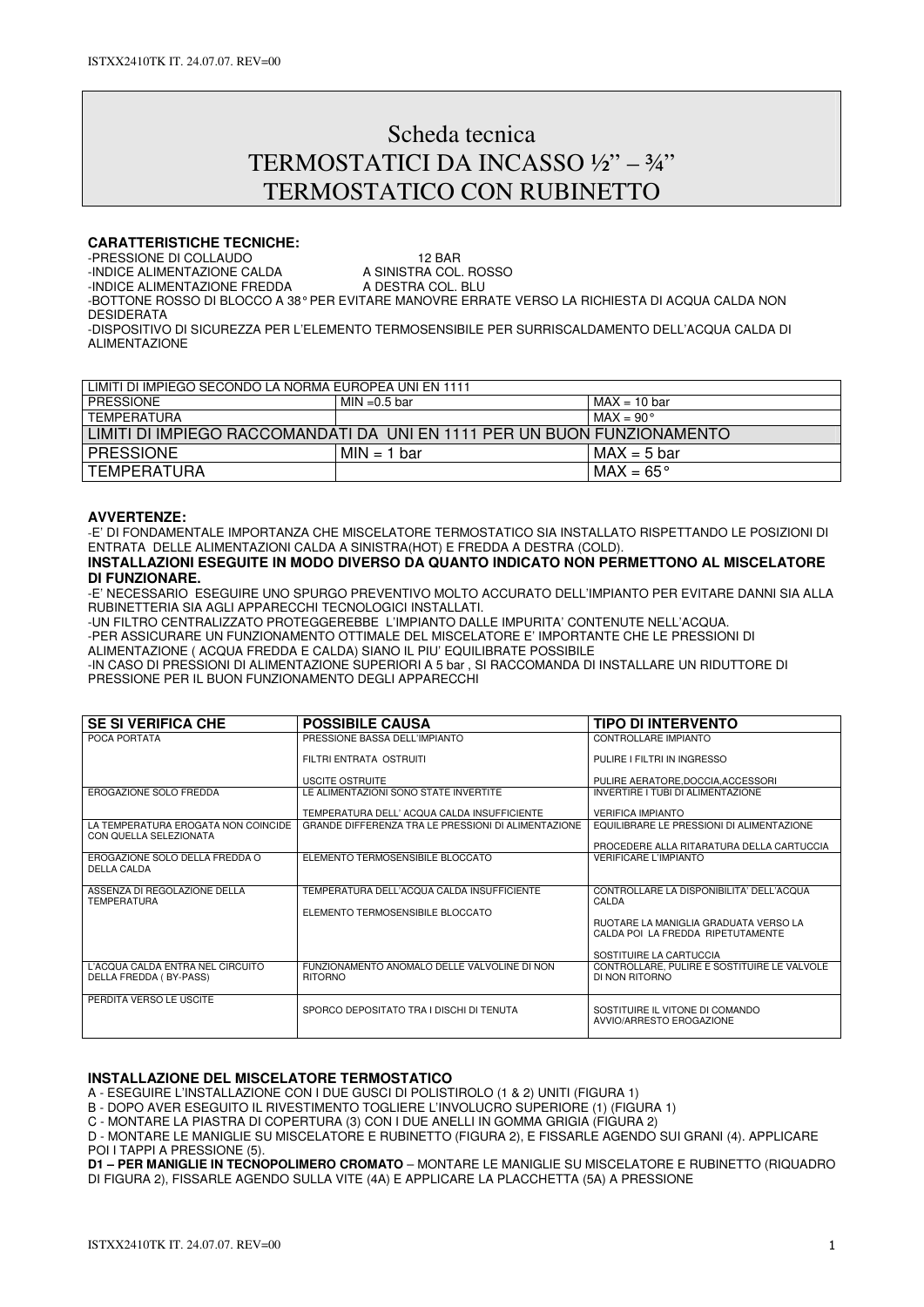# Scheda tecnica TERMOSTATICI DA INCASSO ½" – ¾" TERMOSTATICO CON RUBINETTO

#### **CARATTERISTICHE TECNICHE:**

-PRESSIONE DI COLLAUDO<br>-INDICE ALIMENTAZIONE CALDA A SINISTRA COL. ROSSO

-INDICE ALIMENTAZIONE CALDA A SINISTRA COL. ROSSINDE ALIMENTAZIONE FREDDA A DESTRA COL. BLU -INDICE ALIMENTAZIONE FREDDA -BOTTONE ROSSO DI BLOCCO A 38° PER EVITARE MANOVRE ERRATE VERSO LA RICHIESTA DI ACQUA CALDA NON DESIDERATA

-DISPOSITIVO DI SICUREZZA PER L'ELEMENTO TERMOSENSIBILE PER SURRISCALDAMENTO DELL'ACQUA CALDA DI ALIMENTAZIONE

| LIMITI DI IMPIEGO SECONDO LA NORMA EUROPEA UNI EN 1111                  |               |                    |  |  |
|-------------------------------------------------------------------------|---------------|--------------------|--|--|
| <b>PRESSIONE</b>                                                        | MIN =0.5 bar  | $MAX = 10$ bar     |  |  |
| <b>TEMPERATURA</b>                                                      |               | $MAX = 90^{\circ}$ |  |  |
| LIMITI DI IMPIEGO RACCOMANDATI DA UNI EN 1111 PER UN BUON FUNZIONAMENTO |               |                    |  |  |
| <b>PRESSIONE</b>                                                        | $MIN = 1 bar$ | $MAX = 5 bar$      |  |  |
| TEMPERATURA                                                             |               | $IMAX = 65^\circ$  |  |  |
|                                                                         |               |                    |  |  |

#### **AVVERTENZE:**

-E' DI FONDAMENTALE IMPORTANZA CHE MISCELATORE TERMOSTATICO SIA INSTALLATO RISPETTANDO LE POSIZIONI DI ENTRATA DELLE ALIMENTAZIONI CALDA A SINISTRA(HOT) E FREDDA A DESTRA (COLD).

#### **INSTALLAZIONI ESEGUITE IN MODO DIVERSO DA QUANTO INDICATO NON PERMETTONO AL MISCELATORE DI FUNZIONARE.**

-E' NECESSARIO ESEGUIRE UNO SPURGO PREVENTIVO MOLTO ACCURATO DELL'IMPIANTO PER EVITARE DANNI SIA ALLA RUBINETTERIA SIA AGLI APPARECCHI TECNOLOGICI INSTALLATI.

-UN FILTRO CENTRALIZZATO PROTEGGEREBBE L'IMPIANTO DALLE IMPURITA' CONTENUTE NELL'ACQUA. -PER ASSICURARE UN FUNZIONAMENTO OTTIMALE DEL MISCELATORE E' IMPORTANTE CHE LE PRESSIONI DI ALIMENTAZIONE ( ACQUA FREDDA E CALDA) SIANO IL PIU' EQUILIBRATE POSSIBILE

-IN CASO DI PRESSIONI DI ALIMENTAZIONE SUPERIORI A 5 bar , SI RACCOMANDA DI INSTALLARE UN RIDUTTORE DI PRESSIONE PER IL BUON FUNZIONAMENTO DEGLI APPARECCHI

| <b>SE SI VERIFICA CHE</b>                                     | <b>POSSIBILE CAUSA</b>                                         | <b>TIPO DI INTERVENTO</b>                                     |
|---------------------------------------------------------------|----------------------------------------------------------------|---------------------------------------------------------------|
| POCA PORTATA                                                  | PRESSIONE BASSA DELL'IMPIANTO                                  | CONTROLLARE IMPIANTO                                          |
|                                                               | FILTRI ENTRATA OSTRUITI                                        | PULIRE I FILTRI IN INGRESSO                                   |
|                                                               | <b>USCITE OSTRUITE</b>                                         | PULIRE AERATORE.DOCCIA.ACCESSORI                              |
| EROGAZIONE SOLO FREDDA                                        | LE ALIMENTAZIONI SONO STATE INVERTITE                          | INVERTIRE I TUBI DI ALIMENTAZIONE                             |
|                                                               | TEMPERATURA DELL' ACOUA CALDA INSUFFICIENTE                    | <b>VERIFICA IMPIANTO</b>                                      |
| LA TEMPERATURA EROGATA NON COINCIDE<br>CON QUELLA SELEZIONATA | GRANDE DIFFERENZA TRA LE PRESSIONI DI ALIMENTAZIONE            | EQUILIBRARE LE PRESSIONI DI ALIMENTAZIONE                     |
|                                                               |                                                                | PROCEDERE ALLA RITARATURA DELLA CARTUCCIA                     |
| EROGAZIONE SOLO DELLA FREDDA O<br>DELLA CALDA                 | ELEMENTO TERMOSENSIBILE BLOCCATO                               | <b>VERIFICARE L'IMPIANTO</b>                                  |
|                                                               |                                                                |                                                               |
| ASSENZA DI REGOLAZIONE DELLA<br><b>TEMPERATURA</b>            | TEMPERATURA DELL'ACQUA CALDA INSUFFICIENTE                     | CONTROLLARE LA DISPONIBILITA' DELL'ACQUA<br>CALDA             |
|                                                               | ELEMENTO TERMOSENSIBILE BLOCCATO                               |                                                               |
|                                                               |                                                                | RUOTARE LA MANIGLIA GRADUATA VERSO LA                         |
|                                                               |                                                                | CALDA POL LA FREDDA RIPETUTAMENTE                             |
|                                                               |                                                                | SOSTITUIRE LA CARTUCCIA                                       |
| L'ACQUA CALDA ENTRA NEL CIRCUITO<br>DELLA FREDDA (BY-PASS)    | FUNZIONAMENTO ANOMALO DELLE VALVOLINE DI NON<br><b>RITORNO</b> | CONTROLLARE, PULIRE E SOSTITUIRE LE VALVOLE<br>DI NON RITORNO |
|                                                               |                                                                |                                                               |
| PERDITA VERSO LE USCITE                                       | SPORCO DEPOSITATO TRA I DISCHI DI TENUTA                       | SOSTITUIRE IL VITONE DI COMANDO                               |
|                                                               |                                                                | AVVIO/ARRESTO EROGAZIONE                                      |
|                                                               |                                                                |                                                               |

### **INSTALLAZIONE DEL MISCELATORE TERMOSTATICO**

A - ESEGUIRE L'INSTALLAZIONE CON I DUE GUSCI DI POLISTIROLO (1 & 2) UNITI (FIGURA 1)

B - DOPO AVER ESEGUITO IL RIVESTIMENTO TOGLIERE L'INVOLUCRO SUPERIORE (1) (FIGURA 1)

C - MONTARE LA PIASTRA DI COPERTURA (3) CON I DUE ANELLI IN GOMMA GRIGIA (FIGURA 2)

D - MONTARE LE MANIGLIE SU MISCELATORE E RUBINETTO (FIGURA 2), E FISSARLE AGENDO SUI GRANI (4). APPLICARE POI I TAPPI A PRESSIONE (5).

**D1 – PER MANIGLIE IN TECNOPOLIMERO CROMATO** – MONTARE LE MANIGLIE SU MISCELATORE E RUBINETTO (RIQUADRO DI FIGURA 2), FISSARLE AGENDO SULLA VITE (4A) E APPLICARE LA PLACCHETTA (5A) A PRESSIONE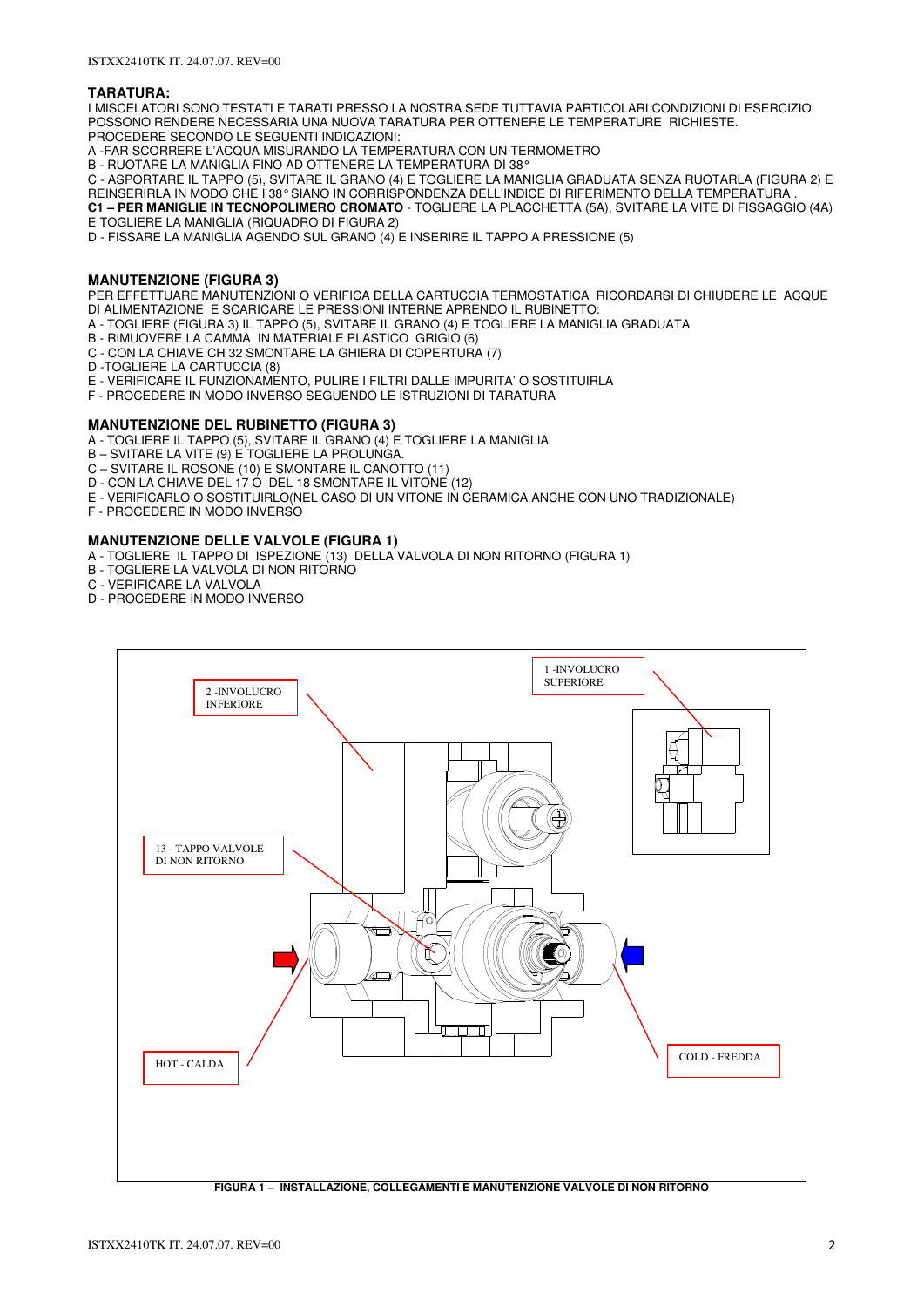#### **TARATURA:**

I MISCELATORI SONO TESTATI E TARATI PRESSO LA NOSTRA SEDE TUTTAVIA PARTICOLARI CONDIZIONI DI ESERCIZIO POSSONO RENDERE NECESSARIA UNA NUOVA TARATURA PER OTTENERE LE TEMPERATURE RICHIESTE. PROCEDERE SECONDO LE SEGUENTI INDICAZIONI:

A -FAR SCORRERE L'ACQUA MISURANDO LA TEMPERATURA CON UN TERMOMETRO

B - RUOTARE LA MANIGLIA FINO AD OTTENERE LA TEMPERATURA DI 38°

C - ASPORTARE IL TAPPO (5), SVITARE IL GRANO (4) E TOGLIERE LA MANIGLIA GRADUATA SENZA RUOTARLA (FIGURA 2) E REINSERIRLA IN MODO CHE I 38° SIANO IN CORRISPONDENZA DELL'INDICE DI RIFERIMENTO DELLA TEMPERATURA

**C1 – PER MANIGLIE IN TECNOPOLIMERO CROMATO** - TOGLIERE LA PLACCHETTA (5A), SVITARE LA VITE DI FISSAGGIO (4A) E TOGLIERE LA MANIGLIA (RIQUADRO DI FIGURA 2)

D - FISSARE LA MANIGLIA AGENDO SUL GRANO (4) E INSERIRE IL TAPPO A PRESSIONE (5)

### **MANUTENZIONE (FIGURA 3)**

PER EFFETTUARE MANUTENZIONI O VERIFICA DELLA CARTUCCIA TERMOSTATICA RICORDARSI DI CHIUDERE LE ACQUE DI ALIMENTAZIONE E SCARICARE LE PRESSIONI INTERNE APRENDO IL RUBINETTO:

A - TOGLIERE (FIGURA 3) IL TAPPO (5), SVITARE IL GRANO (4) E TOGLIERE LA MANIGLIA GRADUATA

- B RIMUOVERE LA CAMMA IN MATERIALE PLASTICO GRIGIO (6)
- C CON LA CHIAVE CH 32 SMONTARE LA GHIERA DI COPERTURA (7)
- D -TOGLIERE LA CARTUCCIA (8)
- E VERIFICARE IL FUNZIONAMENTO, PULIRE I FILTRI DALLE IMPURITA' O SOSTITUIRLA
- F PROCEDERE IN MODO INVERSO SEGUENDO LE ISTRUZIONI DI TARATURA

#### **MANUTENZIONE DEL RUBINETTO (FIGURA 3)**

A - TOGLIERE IL TAPPO (5), SVITARE IL GRANO (4) E TOGLIERE LA MANIGLIA

- B SVITARE LA VITE (9) E TOGLIERE LA PROLUNGA.
- C SVITARE IL ROSONE (10) E SMONTARE IL CANOTTO (11)
- D CON LA CHIAVE DEL 17 O DEL 18 SMONTARE IL VITONE (12)
- E VERIFICARLO O SOSTITUIRLO(NEL CASO DI UN VITONE IN CERAMICA ANCHE CON UNO TRADIZIONALE)
- F PROCEDERE IN MODO INVERSO

## **MANUTENZIONE DELLE VALVOLE (FIGURA 1)**

- A TOGLIERE IL TAPPO DI ISPEZIONE (13) DELLA VALVOLA DI NON RITORNO (FIGURA 1)
- B TOGLIERE LA VALVOLA DI NON RITORNO
- C VERIFICARE LA VALVOLA
- D PROCEDERE IN MODO INVERSO

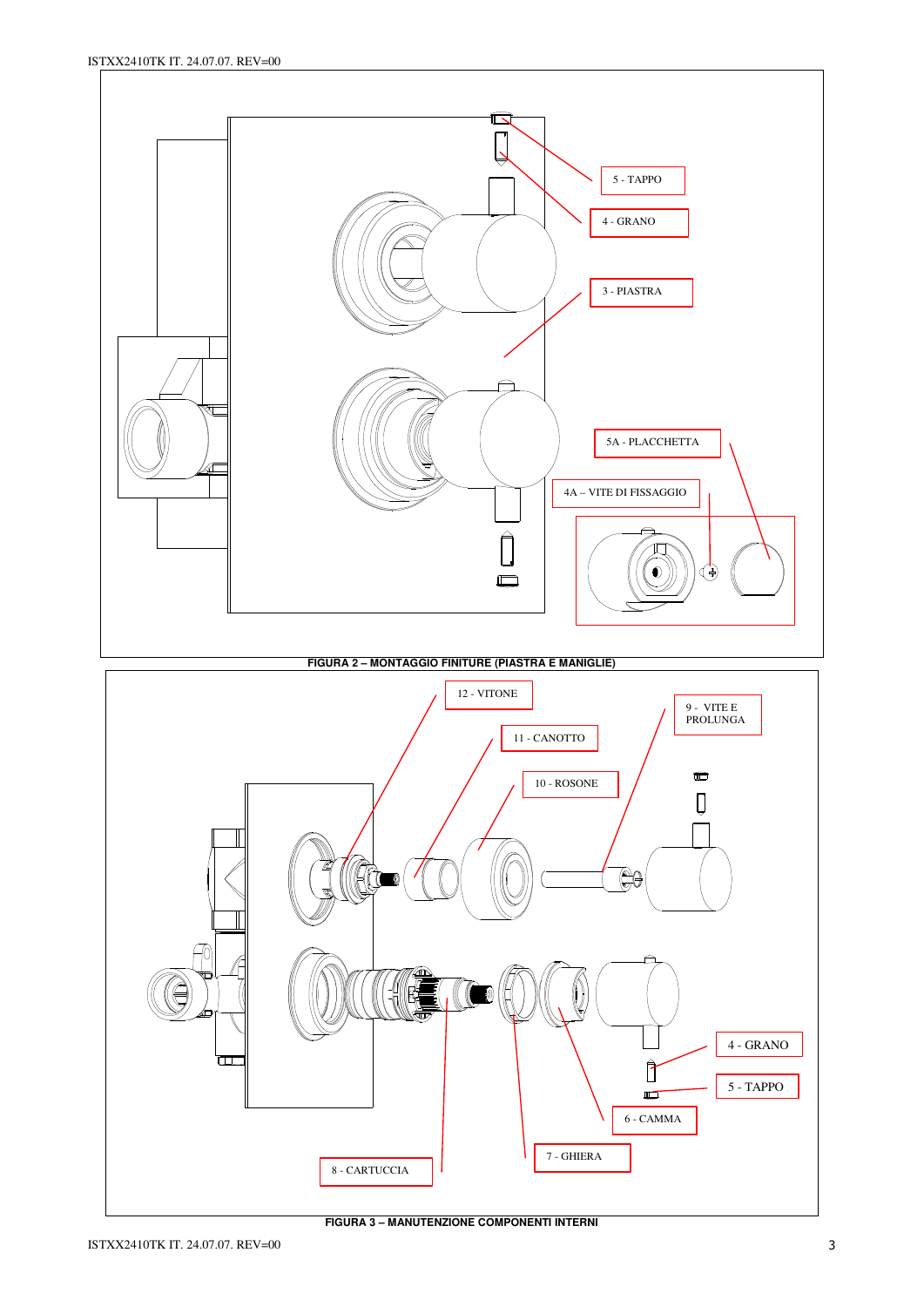

**FIGURA 3 – MANUTENZIONE COMPONENTI INTERNI**